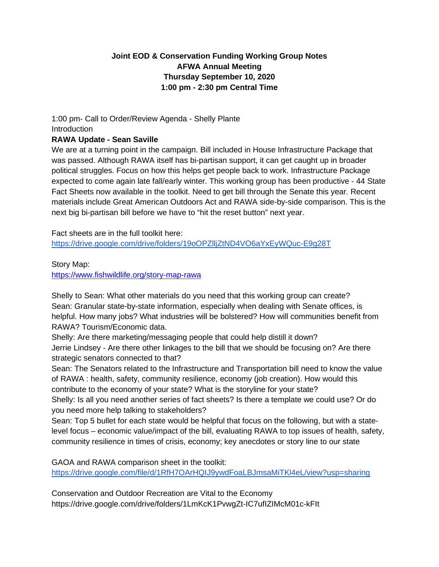## **Joint EOD & Conservation Funding Working Group Notes AFWA Annual Meeting Thursday September 10, 2020 1:00 pm - 2:30 pm Central Time**

# 1:00 pm- Call to Order/Review Agenda - Shelly Plante Introduction

### **RAWA Update - Sean Saville**

We are at a turning point in the campaign. Bill included in House Infrastructure Package that was passed. Although RAWA itself has bi-partisan support, it can get caught up in broader political struggles. Focus on how this helps get people back to work. Infrastructure Package expected to come again late fall/early winter. This working group has been productive - 44 State Fact Sheets now available in the toolkit. Need to get bill through the Senate this year. Recent materials include Great American Outdoors Act and RAWA side-by-side comparison. This is the next big bi-partisan bill before we have to "hit the reset button" next year.

Fact sheets are in the full toolkit here: <https://drive.google.com/drive/folders/19oOPZlljZtND4VO6aYxEyWQuc-E9g28T>

Story Map:

<https://www.fishwildlife.org/story-map-rawa>

Shelly to Sean: What other materials do you need that this working group can create? Sean: Granular state-by-state information, especially when dealing with Senate offices, is helpful. How many jobs? What industries will be bolstered? How will communities benefit from RAWA? Tourism/Economic data.

Shelly: Are there marketing/messaging people that could help distill it down? Jerrie Lindsey - Are there other linkages to the bill that we should be focusing on? Are there strategic senators connected to that?

Sean: The Senators related to the Infrastructure and Transportation bill need to know the value of RAWA : health, safety, community resilience, economy (job creation). How would this contribute to the economy of your state? What is the storyline for your state?

Shelly: Is all you need another series of fact sheets? Is there a template we could use? Or do you need more help talking to stakeholders?

Sean: Top 5 bullet for each state would be helpful that focus on the following, but with a statelevel focus – economic value/impact of the bill, evaluating RAWA to top issues of health, safety, community resilience in times of crisis, economy; key anecdotes or story line to our state

GAOA and RAWA comparison sheet in the toolkit: <https://drive.google.com/file/d/1RfH7OArHQIJ9ywdFoaLBJmsaMiTKl4eL/view?usp=sharing>

Conservation and Outdoor Recreation are Vital to the Economy https://drive.google.com/drive/folders/1LmKcK1PvwgZt-IC7ufIZIMcM01c-kFIt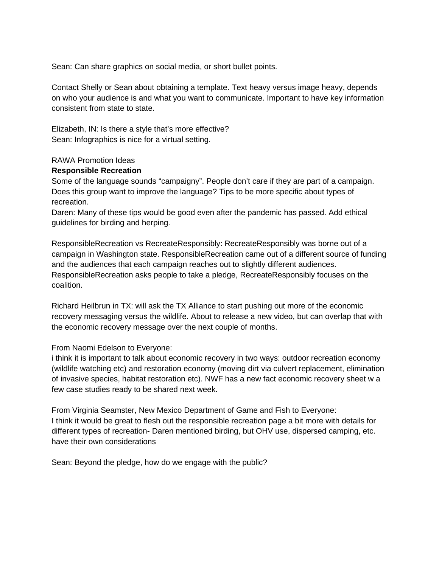Sean: Can share graphics on social media, or short bullet points.

Contact Shelly or Sean about obtaining a template. Text heavy versus image heavy, depends on who your audience is and what you want to communicate. Important to have key information consistent from state to state.

Elizabeth, IN: Is there a style that's more effective? Sean: Infographics is nice for a virtual setting.

#### RAWA Promotion Ideas

#### **Responsible Recreation**

Some of the language sounds "campaigny". People don't care if they are part of a campaign. Does this group want to improve the language? Tips to be more specific about types of recreation.

Daren: Many of these tips would be good even after the pandemic has passed. Add ethical guidelines for birding and herping.

ResponsibleRecreation vs RecreateResponsibly: RecreateResponsibly was borne out of a campaign in Washington state. ResponsibleRecreation came out of a different source of funding and the audiences that each campaign reaches out to slightly different audiences. ResponsibleRecreation asks people to take a pledge, RecreateResponsibly focuses on the coalition.

Richard Heilbrun in TX: will ask the TX Alliance to start pushing out more of the economic recovery messaging versus the wildlife. About to release a new video, but can overlap that with the economic recovery message over the next couple of months.

From Naomi Edelson to Everyone:

i think it is important to talk about economic recovery in two ways: outdoor recreation economy (wildlife watching etc) and restoration economy (moving dirt via culvert replacement, elimination of invasive species, habitat restoration etc). NWF has a new fact economic recovery sheet w a few case studies ready to be shared next week.

From Virginia Seamster, New Mexico Department of Game and Fish to Everyone: I think it would be great to flesh out the responsible recreation page a bit more with details for different types of recreation- Daren mentioned birding, but OHV use, dispersed camping, etc. have their own considerations

Sean: Beyond the pledge, how do we engage with the public?